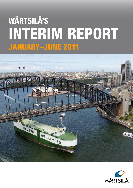# **WÄRTSILÄ'S** INTERIM REPORT **JANUARY-JUNE 2011**



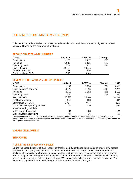# **INTERIM REPORT JANUARY-JUNE 2011**

This interim report is unaudited. All share related financial ratios and their comparison figures have been calculated based on the new amount of shares.

## **SECOND QUARTER 4-6/2011 IN BRIEF**

| <b>MEUR</b>         | 4-6/2011 | 4-6/2010 | Change |
|---------------------|----------|----------|--------|
| Order intake        | 1 1 7 0  | 1 1 1 7  | 5%     |
| Net sales           | 1 0 3 6  | 1 1 3 1  | -8%    |
| Operating result    | 117      | 117      | 0%     |
| % of net sales      | 11.3%    | 10.4%    |        |
| Profit before taxes | 108      | 109      |        |
| Earnings/share, EUR | 0.39     | 0.43     |        |

## **REVIEW PERIOD JANUARY-JUNE 2011 IN BRIEF**

| <b>MEUR</b>                         | 1-6/2011 | 1-6/2010 | Change | 2010    |
|-------------------------------------|----------|----------|--------|---------|
| Order intake                        | 2 1 4 9  | 1998     | 8%     | 4 0 0 5 |
| Order book end of period            | 3 7 7 9  | 4 3 1 5  | $-12%$ | 3795    |
| Net sales                           | 2 1 1 9  | 2052     | 3%     | 4 5 5 3 |
| Operating result                    | 230      | 211      | 9%     | 487     |
| % of net sales                      | 10.9%    | 10.3%    |        | 10.7%   |
| Profit before taxes                 | 215      | 158      |        | 548     |
| Earnings/share, EUR                 | 0.78     | 0.77     |        | 1.68    |
| Cash flow from operating activities | 84       | 270      |        | 663     |
| Interest-bearing net debt           |          |          |        |         |
| at the end of the period            | 64       | 328      |        | -165    |
| Gross capital expenditure           | 44       | 36       |        | 98      |

The operating result and earnings per share are shown excluding nonrecurring items. Wärtsilä recognised EUR 9 million (12) of nonrecurring items related to restructuring measures during the second quarter and EUR 12 million (56) of nonrecurring items during the review period January-June 2011.

# **MARKET DEVELOPMENT**

# **SHIP POWER**

#### **A shift in the mix of vessels contracted**

During the second quarter of 2011, vessel contracting activity continued to be stable at around 100 vessels per month. Contracting activity for certain types of merchant vessels, such as bulk carriers and tankers, declined while activity was buoyant for containerships and gas carriers. This development in the merchant market, coupled with strong contracting activity in the offshore markets and good activity in special vessels, means that the mix of vessels contracted during 2011 has clearly shifted towards specialised tonnage. This situation is expected to remain unchanged throughout the remainder of the year.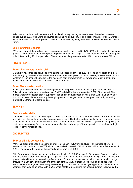Asian yards continue to dominate the shipbuilding industry, having secured 89% of the global contracts signed during 2011, with China and Korea each gaining about 40% of all global contracts. Notably, Chinese yards were able to secure important orders for containerships, a segment traditionally dominated by Korean yards.

## **Ship Power market shares**

Wärtsilä's share of the medium-speed main engine market increased to 44% (42% at the end of the previous quarter). The market share in low-speed engines increased to 17% (11). This increase is a reflection of good order intake during 2011, especially in China. In the auxiliary engine market Wärtsilä's share was 3% (3).

# **POWER PLANTS**

## **Power plant markets remain solid**

Market activity continued at a good level during the second quarter of 2011. Increasing industrial output in most emerging markets drove the demand from independent power producers (IPP's), utilities and industrial customers. The financial crisis led to the postponement of investments for power generation in 2009 and 2010, and this is now creating demand in several markets.

#### **Power Plants market position**

In 2010, the overall market for gas and liquid fuel based power generation was approximately 57,000 MW. This includes all prime mover units of over 5 MW. Wärtsilä's share represented 5.6% of the market. This makes Wärtsilä the fourth largest supplier of gas and liquid fuel based power plants. With its unique value proposition, Wärtsilä aims at strengthening its position in the gas based power plant market by capturing market share from other technologies.

# **SERVICES**

#### **Service market stable**

The service market was stable during the second quarter of 2011. The offshore markets showed high activity and activity in the container markets was on a good level. The tanker and especially the bulker markets were somewhat slow. Interest in various operations, maintenance and technical service agreements is growing as customers increasingly focus on ensuring cost effective and energy efficient operations as well as the high reliability of their installations.

# **ORDER INTAKE**

#### **Book-to-bill ratio exceeds one**

Wärtsilä's order intake for the second quarter totalled EUR 1,170 million (1,117) an increase of 5%. In relation to the previous quarter Wärtsilä's order intake increased 20% (EUR 979 million in the first quarter of 2011). The book-to-bill ratio for the second quarter was 1.13 (0.99).

Ship Power's order intake for the second quarter totalled EUR 306 million (213), up 44%. Compared to the previous quarter, order intake was up 77% (EUR 173 million in the first quarter of 2011). During the second quarter, Wärtsilä received several significant orders for the delivery of total solutions, including ship design, propulsion machinery, automation and other equipment. Many of these vessels will be equipped with Wärtsilä dual-fuel engines underlining the company's frontrunner position in gas applications. The Offshore segment continued to be active with a 54% share of total orders during the second quarter, followed by the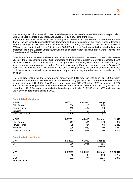Merchant segment with 19% of all orders. Special vessels and Navy orders were 12% and 9% respectively. Ship Design represented a 3% share, and Cruise & Ferry a 2% share of the total.

The order intake for Power Plants in the second quarter totalled EUR 419 million (437), which was 4% less than for the corresponding period last year. Compared to the previous quarter, the Power Plants order intake increased 66% (EUR 253 million in the first quarter of 2011). During the second quarter, Wärtsilä received a 250MW turnkey project order from Estonia and a 180MW order from South Africa, both of which rely on key characteristics of the Wärtsilä Smart Power Generation concept. Other significant orders were received from Timor-Leste and Saudi-Arabia.

Order intake for the Services business totalled EUR 444 million (465) in the second quarter, a decrease of 5% from the corresponding period 2010. Compared to the previous quarter, order intake decreased 20% (EUR 551 million in the first quarter of 2011). During the second quarter, Wärtsilä was awarded a five-year technical management contract, based on Dynamic Maintenance Planning, covering a total of 24 Wärtsilä 50DF dual-fuel engines in six LNG carriers. The contract was placed by the operator of the vessels, Ceres LNG Services Ltd, a Greek ship management company and a major marine services provider in LNG shipping.

The total order intake for the review period January-June 2011 was EUR 2,149 million (1,998), which represents an increase of 8% compared to the corresponding period 2010. The book-to-bill ratio for the review period was 1.01 (0.97). Ship Power's order intake was EUR 479 million (303), an increase of 58% from the corresponding period last year. Power Plants' order intake was EUR 672 million (704), which is 4% lower than in 2010. Services' order intake for the review period totalled EUR 995 million (988), an increase of 1% over the corresponding period in 2010.

| <b>MEUR</b>         | 4-6/2011 | 4-6/2010 | Change |
|---------------------|----------|----------|--------|
| Ship Power          | 306      | 213      | 44%    |
| <b>Power Plants</b> | 419      | 437      | $-4%$  |
| <b>Services</b>     | 444      | 465      | -5%    |
| Order intake, total | 1 1 7 0  | 1 1 1 7  | 5%     |
|                     |          |          |        |

# **Order intake by business**

| <b>MEUR</b>         | $1 - 6/2011$ | 1-6/2010 | Change | 1-12/2010 |
|---------------------|--------------|----------|--------|-----------|
| Ship Power          | 479          | 303      | 58%    | 657       |
| <b>Power Plants</b> | 672          | 704      | $-4%$  | 1413      |
| <b>Services</b>     | 995          | 988      | 1%     | 1931      |
| Order intake, total | 2 1 4 9      | 1998     | 8%     | 4 0 0 5   |

# **Order intake Power Plants**

| <b>MW</b>       | 4-6/2011 | 4-6/2010 | Change  |           |
|-----------------|----------|----------|---------|-----------|
| Oil             | 355      | 1 0 2 1  | $-65%$  |           |
| Gas             | 450      | 14       | 3 045%  |           |
|                 |          |          |         |           |
| <b>MW</b>       | 1-6/2011 | 1-6/2010 | Change  | 1-12/2010 |
| Oil             | 615      | 1 100    | $-44%$  | 1797      |
| Gas             | 872      | 374      | 133%    | 1 377     |
| Renewable fuels |          | 19       | $-100%$ |           |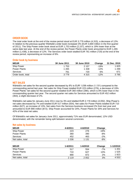## **ORDER BOOK**

The total order book at the end of the review period stood at EUR 3,779 million (4,315), a decrease of 12%. In relation to the previous quarter Wärtsilä's order book increased 3% (EUR 3,669 million in the first quarter of 2011). The Ship Power order book stood at EUR 1,753 million (2,157), which is 19% lower than at the same date last year. At the end of the review period, the Power Plants order book amounted to EUR 1,265 million (1,438), a decrease of 12%. The Services order book totalled EUR 761 million (720) at the end of the review period, representing an increase of 6%.

#### **Order book by business**

| <b>MEUR</b>       | <b>30 June 2011</b> | <b>30 June 2010</b> | <b>Change</b> | 31 Dec. 2010 |
|-------------------|---------------------|---------------------|---------------|--------------|
| <b>Ship Power</b> | 1 753               | 2 157               | $-19%$        | 1825         |
| Power Plants      | 1 265               | 1438                | $-12%$        | 1 2 9 9      |
| Services          | 761                 | 720                 | 6%            | 671          |
| Order book, total | 3779                | 4 3 1 5             | $-12%$        | 3795         |

# **NET SALES**

Wärtsilä's net sales for the second quarter decreased by 8% to EUR 1,036 million (1,131) compared to the corresponding period last year. Net sales for Ship Power totalled EUR 223 million (276), a decrease of 19%. Power Plants' net sales for the second quarter totalled EUR 360 million (390), which is 8% lower than in the corresponding quarter last year. The second quarter net sales for Services amounted to EUR 452 million (463), a slight decrease of 2%.

Wärtsilä's net sales for January-June 2011 rose by 3% and totalled EUR 2,119 million (2,052). Ship Power's net sales decreased by 7% and totalled EUR 517 million (554). Net sales for Power Plants totalled EUR 710 million (627), an increase of 13%. Net sales from the Services business increased 2% from last year and amounted to EUR 890 million (872). Ship Power accounted for 24%, Power Plants for 34% and Services for 42% of the total net sales.

Of Wärtsilä's net sales for January-June 2011, approximately 71% was EUR denominated, 12% USD denominated, with the remainder being split between several currencies.

#### **Net sales by business**

| <b>MEUR</b>         | 4-6/2011 | 4-6/2010 | Change |
|---------------------|----------|----------|--------|
| Ship Power          | 223      | 276      | $-19%$ |
| <b>Power Plants</b> | 360      | 390      | $-8%$  |
| Services            | 452      | 463      | $-2%$  |
| Net sales, total    | 1 0 3 6  | 1 131    | -8%    |
|                     |          |          |        |

| <b>MEUR</b>         | 1-6/2011 | 1-6/2010 | Change | 1-12/2010 |
|---------------------|----------|----------|--------|-----------|
| Ship Power          | 517      | 554      | $-7%$  | 1 201     |
| <b>Power Plants</b> | 710      | 627      | 13%    | 1 525     |
| <b>Services</b>     | 890      | 872      | 2%     | 1823      |
| Net sales, total    | 2 1 1 9  | 2052     | 3%     | 4 5 5 3   |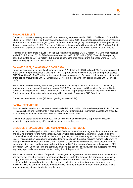# **FINANCIAL RESULTS**

The second quarter operating result before nonrecurring expenses totalled EUR 117 million (117), which is 11.3% of net sales (10.4). For the review period January-June 2011, the operating result before nonrecurring expenses was EUR 230 million (211), which is 10.9% of net sales (10.3). Including nonrecurring expenses, the operating result was EUR 219 million or 10.3% of net sales. Wärtsilä recognised EUR 12 million (56) of nonrecurring expenses related to the restructuring measures during the review period January-June 2011.

Financial items amounted to EUR -4 million (3). Net interest totalled EUR -2 million (-5). Dividends received totalled EUR 2 million (7). Profit before taxes amounted to EUR 215 million (158). Taxes in the reporting period amounted to EUR 66 million (45). Earnings per share after nonrecurring expenses were EUR 0.73 (0.55) and equity per share was 7.66 euro (7.37).

## **BALANCE SHEET, FINANCING AND CASH FLOW**

Cash flow from operating activities for January-June 2011 totalled EUR 84 million (270). Net working capital at the end of the period totalled EUR 276 million (314). Advances received at the end of the period totalled EUR 603 million (EUR 620 million at the end of the previous quarter). Cash and cash equivalents at the end of the period amounted to EUR 541 million (331). Net interest-bearing loan capital totalled EUR 64 million (328).

Wärtsilä had interest bearing debt totalling EUR 607 million (678) at the end of June 2011. The existing funding programmes include long-term loans of EUR 523 million, unutilised Committed Revolving Credit Facilities totalling EUR 520 million and Finnish Commercial Paper programmes totalling EUR 700 million. The total amount of short-term debt maturing within the next 12 months is EUR 84 million.

The solvency ratio was 40.4% (38.1) and gearing was 0.04 (0.24).

# **CAPITAL EXPENDITURE**

Gross capital expenditure in the review period totalled EUR 44 million (36), which comprised EUR 16 million (4) in acquisitions and investments in securities, and EUR 28 million (32) in intangible assets and property, plant and equipment. Depreciation amounted to EUR 57 million (58).

Maintenance capital expenditure for 2011 will be in line with or slightly above depreciation. Possible acquisition opportunities may affect capital expenditure for the year.

# **STRATEGIC STEPS, ACQUISITIONS AND EXPANSION OF NETWORK**

In July, after the review period, Wärtsilä acquired Cedervall, one of the leading manufacturers of shaft seal and bearing systems for the marine industry. Cedervall is headquartered Gothenburg, Sweden, and the company has subsidiaries in Spain, China and Singapore, and manufacturing facilities in Sweden, China and Spain. This acquisition strengthens Wärtsilä's leading position in the global services market, in line with its strategy. The combination of Wärtsilä's and Cedervall's businesses will create the market leader for oil & water lubricated seals and bearings, and sterntubes. In 2010, the company's annual net sales were SEK 344 million (EUR 39 million) and the company employs 211 people. The acquisition is subject to relevant regulatory approvals, which are expected during the third quarter of 2011.

Wärtsilä Corporation and Metso Corporation have signed an agreement to co-operate in the development and delivery of scrubber systems for marine applications. Under the terms of this agreement, Metso is to supply the scrubber unit, while Wärtsilä is responsible for world-wide sales and for integrating complete, certified and documented marine scrubber systems, including the automation, water treatment, and ancillaries. This co-operation creates the capability to ramp up production to meet future demand arising from increasingly stringent emission regulations.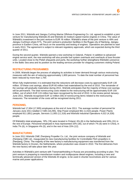In June 2011, Wärtsilä and Jiangsu CuiXing Marine Offshore Engineering Co. Ltd. agreed to establish a joint venture for manufacturing Wärtsilä 26 and Wärtsilä 32 medium-speed marine engines in China. The value of Wärtsilä's investment in the joint venture is EUR 16 million. Wärtsilä's share of the joint venture is 49% and Jiangsu CuiXing's share 51%. The joint venture's production facilities in the Rugao city of Nantong, Jiangsu province in Eastern China, will focus on the assembly and testing of engines. Operations are planned to start in early 2013. The agreement is subject to relevant regulatory approvals, which are expected during the third quarter of 2011.

During the second quarter, Wärtsilä opened a new workshop in Gdansk, Poland. In addition to advanced engine service work, the new workshop will also provide fuel system overhauls and overhauls of bow thruster units. Located close to the Polish shipyards and ports, the workshop further strengthens Wärtsilä's presence in the Baltic Sea area and its position as the leading services provider for shipping customers visiting Poland.

## **RESTRUCTURING PROGRAMMES**

In 2009, Wärtsilä began the process of adapting its activities to lower demand through various restructuring measures with the aim of reducing approximately 1,800 persons. To date the total number of personnel has been reduced by more than 1,700.

When fully implemented, it is estimated that the reductions will decrease costs by approximately EUR 130 million. Of these cost savings, about EUR 60 million had materialised by the end of 2010. The remainder of the savings will gradually materialise during 2011. Wärtsilä anticipates that the majority of these cost savings will be permanent. The total nonrecurring costs related to the restructuring will be approximately EUR 150 million, out of which EUR 115 million has been recognised by the end of 2010. In the review period January-June 2011, Wärtsilä recognised EUR 12 million (56) of nonrecurring items related to the restructuring measures. The remainder of the costs will be recognised during 2011.

# **PERSONNEL**

Wärtsilä had 17,654 (17,905) employees at the end of June 2011. The average number of personnel for January-June 2011 totalled 17,585 (18,295). Ship Power employed 961 (1,010) people. Power Plants employed 811 (851) people, Services 11,083 (11,318) and Wärtsilä Industrial Operations 4,022 (4,328) people.

Of Wärtsilä's total employees, 19% (18) were located in Finland, 6% (8) in the Netherlands and 29% (31) in the rest of Europe. Personnel employed in Asia represented 33% (30), out of which 7% (6) were in China, in India 7% (6), in Singapore 4% (5), and in the rest of Asia 15% (12).

# **MANUFACTURING**

In June 2011 Wärtsilä CME Zhenjiang Propeller Co. Ltd., the joint venture company of Wärtsilä and Zhenjiang CME Ltd., inaugurated its new manufacturing facilities for Controllable Pitch propellers in Zhenjiang, China. The majority of the new factory's manufacturing equipment was transferred from the Wärtsilä factory in Drunen, the Netherlands, where production was closed in 2010. The first deliveries from the new factory will take place later this year.

Activities in Wärtsilä's joint venture with Transmashholding in Russia are proceeding according to plan. The joint venture is preparing to manufacture modern and multipurpose diesel engines, including a new and technically advanced version of the Wärtsilä 20 engine, to be used in shunter locomotives and for various marine and power applications.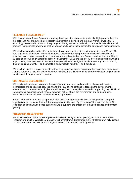# **RESEARCH & DEVELOPMENT**

Wärtsilä and Versa Power Systems, a leading developer of environmentally friendly, high-power solid oxide fuel cells (SOFC), announced a co-operative agreement to develop and integrate Versa Power's SOFC technology into Wärtsilä products. A key target of the agreement is to develop commercial Wärtsilä fuel cell products that generate power and heat for various applications in the distributed energy and marine markets.

Wärtsilä has strengthened its offering in the mid-size, low-speed engine sector by adding new 62- and 72 bore engines to its portfolio. These standardised engines offer high propulsion efficiency, reliability, and optimised total cost of ownership for customers in the bulker, tanker, and feeder container markets. The first 62-bore engine will be available for delivery in September 2013 and the first 72-bore engine will be available approximately one year later. All Wärtsilä licensees will have the right to build the new engines. At launch, the new engines are IMO Tier II compatible and available with IMO Tier III solutions.

Wärtsilä has initiated a major project to further develop its low-speed engine portfolio to include gas engines. For this purpose, a new test engine has been installed in the Trieste engine laboratory in Italy. Engine testing was initiated during the second quarter.

# **SUSTAINABLE DEVELOPMENT**

Wärtsilä is well positioned to reduce the use of natural resources and emissions, thanks to its various technologies and specialised services. Wärtsilä's R&D efforts continue to focus on the development of advanced environmental technologies and solutions. The company is committed to supporting the UN Global Compact and its principles with respect to human rights, labour, the environment and anti-corruption. Wärtsilä's share is included in several sustainability indexes.

In April, Wärtsilä entered into co-operation with Crisis Management Initiative, an independent non-profit organisation, led by Nobel Peace Prize laureate Martti Ahtisaari. By promoting CMIs´ activities in conflict resolution and sustainable peace building Wärtsilä supports the creation of a stable business environment globally.

#### **CHANGES IN MANAGEMENT**

Wärtsilä's Board of Directors has appointed Mr Björn Rosengren M.Sc. (Tech.), born 1959, as the new President and CEO of Wärtsilä Corporation, with effect from 1 September 2011. Mr Rosengren will succeed Mr Ole Johansson, who will, at that time, exercise his right to retire at the age of 60.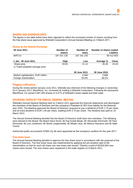## **SHARES AND SHAREHOLDERS**

The figures in the table below have been adjusted to reflect the increased number of shares resulting from the free share issue approved by Wärtsilä Corporation's Annual General Meeting on 3 March 2011.

#### **Shares on the Helsinki Exchange**

| 30 June 2011                                   | Number of<br>shares | Number of<br>votes | Number of shares traded | 1-6/2011     |
|------------------------------------------------|---------------------|--------------------|-------------------------|--------------|
| WRT <sub>1</sub> V                             | 197 241 130         | 197 241 130        |                         | 80 412 603   |
| 1 Jan. - 30 June 2011                          | High                | Low                | Average 1)              | <b>Close</b> |
| Share price<br>1) Trade-weighted average price | 29.55               | 21.12              | 26.26                   | 23.29        |
|                                                |                     | <b>OO 1 OOII</b>   | <b>00 L.L. 0040</b>     |              |

|                                    | 30 June 2011 | 30 June 2010 |
|------------------------------------|--------------|--------------|
| Market capitalisation, EUR million | 4.594        | 3695         |
| Foreign shareholders               | 50.0%        | 48.2%        |
|                                    |              |              |

## **Flagging notifications**

During the review period January-June 2011, Wärtsilä was informed of the following changes in ownership: On 5 January 2011, BlackRock, Inc. increased its holding in Wärtsilä Corporation. Following the transaction BlackRock, Inc owned 4,941,593 shares or 5.01% of Wärtsilä's share capital and total votes.

# **DECISIONS TAKEN BY THE ANNUAL GENERAL MEETING**

Wärtsilä's Annual General Meeting held on 3 March 2011 approved the financial statements and discharged the members of the Board of Directors and the company's President & CEO from liability for the financial year 2010. The Meeting approved the Board of Directors' proposal to pay a dividend of EUR 1.75 per share and an extra dividend of EUR 1.00 per share, totalling EUR 2.75 per share. The dividend was paid on 15 March 2011.

The Annual General Meeting decided that the Board of Directors shall have nine members. The following were elected to the Board: Ms Maarit Aarni-Sirviö, Mr Kaj-Gustaf Bergh, Mr Alexander Ehrnrooth, Mr Paul Ehrnrooth, Mr Lars Josefsson, Mr Bertel Langenskiöld, Mr Mikael Lilius, Mr Markus Rauramo and Mr Matti Vuoria.

Authorized public accountants KPMG Oy Ab were appointed as the company's auditors for the year 2011.

#### **Free share issue**

The Annual General Meeting decided to approve the free share issue in accordance with the proposal of the Board of Directors. The free share issue was implemented by applying the pre-emptive right of the shareholders so that for each old share one new share was issued. Thereby a total of 98,620,565 new shares were issued. The new shares were registered in the trade register on 8 March 2011.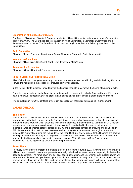# **Organisation of the Board of Directors**

The Board of Directors of Wärtsilä Corporation elected Mikael Lilius as its chairman and Matti Vuoria as the deputy chairman. The Board decided to establish an Audit Committee, a Nomination Committee and a Remuneration Committee. The Board appointed from among its members the following members to the Committees:

#### **Audit Committee:**

Chairman Markus Rauramo, Maarit Aarni-Sirviö, Alexander Ehrnrooth, Bertel Langenskiöld

#### **Nomination Committee:**

Chairman Mikael Lilius, Kaj-Gustaf Bergh, Lars Josefsson, Matti Vuoria

## **Remuneration Committee:**

Chairman Mikael Lilius, Paul Ehrnrooth, Matti Vuoria

# **RISKS AND BUSINESS UNCERTAINTIES**

Risk of slowdown in the global economy continues to present a threat for shipping and shipbuilding. For Ship Power, the main risk is the slippage of shipyard delivery schedules.

In the Power Plants business, uncertainty in the financial markets may impact the timing of bigger projects.

The returning uncertainty in the financial markets as well as unrest in the Middle East and North Africa may have a negative impact on Services' order intake, especially for larger power plant conversion projects.

The annual report for 2010 contains a thorough description of Wärtsilä's risks and risk management.

# **MARKET OUTLOOK**

#### **Ship Power**

Vessel ordering activity is expected to remain lower than during the previous year. This is mainly due to lower activity in the bulk carriers markets. The shift towards more robust contracting activity for specialised tonnage benefits Wärtsilä Ship Power due to its strong presence in these markets. Demand for LNG fuelled vessels in several segments continues to pick up. Wärtsilä is unrivalled in this market, with the most extensive range of engines safely operating on LNG and a complete portfolio of products and solutions. In Ship Power, orders for LNG carriers have resumed and a significant number of new engine orders are expected to materialise during the remainder of the year. Dual-fuel engine orders for LNG carries are booked as the joint venture Wärtsilä Hyundai Engine Company Ltd's order intake. Competition and price pressure among shipbuilding suppliers is expected to remain intense. Wärtsilä expects Ship Power's order intake in 2011 to be significantly better than in the previous year.

#### **Power Plants**

Recovery in the power generation market is expected to continue during 2011. Growing emerging markets will continue to invest in new power generation capacity, which will increase demand especially in the flexible baseload segment. The ramp down of older coal based generation, and uncertainty over nuclear power, will increase the demand for gas based generation in the medium to long term. This is supported by the production of shale gas in the US, and the expectation that natural gas prices will remain competitive. Wärtsilä expects Power Plants' order intake to increase in 2011 compared to the previous year.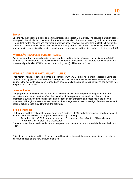# **Services**

Uncertainty over economic development has increased, especially in Europe. The service market outlook is strongest in the Middle East, Asia and the Americas, which is in line with economic growth in these areas. The outlook for the offshore and container markets is good, however the short term outlook is bleak in the tanker and bulker markets. While Wärtsilä expects steady demand for power plant services, the overall marine service market is still expected to suffer from overcapacity and the high anchored fleet level in 2011.

# **WÄRTSILÄ'S PROSPECTS FOR 2011 REVISED**

Due to weaker than expected marine service markets and the timing of power plant deliveries, Wärtsilä expects its net sales for 2011 to decline by 0-5% compared to last year. We reiterate our expectation that operational profitability (EBIT% before nonrecurring items) will be around 11%.

# **WÄRTSILÄ INTERIM REPORT JANUARY – JUNE 2011**

This interim financial report is prepared in accordance with IAS 34 (Interim Financial Reporting) using the same accounting policies and methods of computation as in the annual financial statements for 2010. All figures in the accounts have been rounded and consequently the sum of individual figures can deviate from the presented sum figure.

## **Use of estimates**

The preparation of the financial statements in accordance with IFRS requires management to make estimates and assumptions that affect the valuation of the reported assets and liabilities and other information, such as contingent liabilities and the recognition of income and expenses in the income statement. Although the estimates are based on the management's best knowledge of current events and actions, actual results may differ from the estimates.

# **IFRS amendments**

Of the amended International Financial Reporting Standards (IFRS) and interpretations mandatory as of 1 January 2011 the following are applicable on the Group reporting:

- Amendment to IAS 32 Financial instruments: Presentation Classification of Rights Issues
- Revised IAS 24 Related Party Disclosures

The adaption of the revised standards and interpretations does not have any material effect on the interim report.

This interim report is unaudited. All share related financial ratios and their comparison figures have been calculated based on the new amount of shares.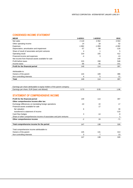# **CONDENSED INCOME STATEMENT**

| <b>MEUR</b>                                                              | 1-6/2011 | 1-6/2010 | 2010         |
|--------------------------------------------------------------------------|----------|----------|--------------|
| Net sales                                                                | 2 1 1 9  | 2 0 5 2  | 4553         |
| Other operating income                                                   | 14       | 18       | 52           |
| Expenses                                                                 | $-1862$  | $-1859$  | $-4082$      |
| Depreciation, amortisation and impairment                                | -57      | $-58$    | $-116$       |
| Share of result of associates and joint ventures                         | 4        | 1        | 5            |
| Operating result                                                         | 219      | 155      | 412          |
| Financial income and expenses                                            | -4       | 3        | $-13$        |
| Net income from financial assets available for sale                      |          |          | 149          |
| Profit before taxes                                                      | 215      | 158      | 548          |
| Income taxes                                                             | -66      | -45      | -151         |
| Profit for the financial period                                          | 149      | 114      | 397          |
|                                                                          |          |          |              |
| Attributable to:                                                         |          |          |              |
| Owners of the parent                                                     | 144      | 109      | 386          |
| Non-controlling interests                                                | 4        | 5        | 11           |
| <b>Total</b>                                                             | 149      | 114      | 397          |
|                                                                          |          |          |              |
|                                                                          |          |          |              |
| Earnings per share attributable to equity holders of the parent company: |          |          |              |
| Earnings per share, EUR (basic and diluted)                              | 0.73     | 0.55     | 1.96         |
|                                                                          |          |          |              |
| <b>STATEMENT OF COMPREHENSIVE INCOME</b>                                 |          |          |              |
| Profit for the financial period                                          | 149      | 114      | 397          |
| Other comprehensive income after tax:                                    |          |          |              |
| Exchange differences on translating foreign operations                   | $-10$    | 22       | 17           |
| Financial assets available for sale                                      |          | 17       |              |
| fair valuation                                                           | 6        |          | 30           |
| transferred to statement of income                                       |          |          | $-110$       |
| Cash flow hedges                                                         | 3        | $-14$    | -9           |
| Share of other comprehensive income of associates and joint ventures     |          |          | $\mathbf{1}$ |
| Other comprehensive income                                               | $-2$     | 24       | $-71$        |
|                                                                          |          |          |              |
| Total comprehensive income for the period                                | 147      | 138      | 326          |
|                                                                          |          |          |              |
| Total comprehensive income attributable to:                              |          |          |              |
| Owners of the parent                                                     | 145      | 131      | 313          |
| Non-controlling interests                                                | 3        | 7        | 13           |
|                                                                          | 147      | 138      | 326          |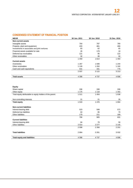# **CONDENSED STATEMENT OF FINANCIAL POSITION**

| <b>MEUR</b>                                  | 30 Jun. 2011 | 30 Jun. 2010 | 31 Dec. 2010 |
|----------------------------------------------|--------------|--------------|--------------|
| <b>Non-current assets</b>                    |              |              |              |
| Intangible assets                            | 764          | 787          | 780          |
| Property, plant and equipment                | 433          | 461          | 466          |
| Investments in associates and joint ventures | 83           | 62           | 65           |
| Financial assets available for sale          | 26           | 179          | 18           |
| Deferred tax receivables                     | 121          | 95           | 122          |
| Other receivables                            | 32           | 30           | 32           |
|                                              | 1459         | 1614         | 1483         |
| <b>Current assets</b>                        |              |              |              |
| Inventories                                  | 1 2 6 7      | 1 5 9 0      | 1 2 4 4      |
| Other receivables                            | 1 1 2 8      | 1 202        | 1 1 9 2      |
| Cash and cash equivalents                    | 541          | 331          | 776          |
|                                              | 2937         | 3 1 2 2      | 3 2 1 3      |
| <b>Total assets</b>                          | 4 3 9 6      | 4 7 3 7      | 4696         |

#### **Equity**

| 1 1 1 8<br>1 302<br>Other equity<br>1 1 7 5<br>1 6 3 8<br>Total equity attributable to equity holders of the parent<br>1511<br>1454 |     |
|-------------------------------------------------------------------------------------------------------------------------------------|-----|
|                                                                                                                                     |     |
|                                                                                                                                     |     |
|                                                                                                                                     |     |
| Non-controlling interests<br>21<br>21                                                                                               | 26  |
| 1533<br>1476<br>1664<br><b>Total equity</b>                                                                                         |     |
|                                                                                                                                     |     |
| <b>Non-current liabilities</b>                                                                                                      |     |
| 523<br>Interest-bearing debt<br>599                                                                                                 | 572 |
| Deferred tax liabilities<br>63<br>95                                                                                                | 70  |
| Other liabilities<br>179<br>211                                                                                                     | 189 |
| 766<br>905                                                                                                                          | 831 |
| <b>Current liabilities</b>                                                                                                          |     |
| 84<br>Interest-bearing debt<br>79                                                                                                   | 56  |
| Other liabilities<br>2014<br>2 1 4 5<br>2 2 7 7                                                                                     |     |
| 2 0 9 8<br>2 3 5 6<br>2 2 0 1                                                                                                       |     |
|                                                                                                                                     |     |
| <b>Total liabilities</b><br>2864<br>3 2 6 1<br>3 0 3 2                                                                              |     |
|                                                                                                                                     |     |
| <b>Total equity and liabilities</b><br>4 3 9 6<br>4737<br>4696                                                                      |     |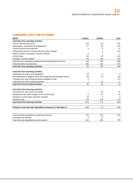# **CONDENSED CASH FLOW STATEMENT**

| <b>MEUR</b>                                                            | 1-6/2011 | 1-6/2010 | 2010   |
|------------------------------------------------------------------------|----------|----------|--------|
| Cash flow from operating activities:                                   |          |          |        |
| Profit for the financial period                                        | 149      | 114      | 397    |
| Depreciation, amortisation and impairment                              | 57       | 58       | 116    |
| Financial income and expenses                                          | 4        | -3       | 13     |
| Selling profit and loss of fixed assets and other changes              |          | 4        | $-147$ |
| Share of result of associates and joint ventures                       | -4       | -1       | -5     |
| Income taxes                                                           | 66       | 45       | 151    |
| Changes in working capital                                             | $-52$    | 238      | 370    |
| Cash flow from operating activities before financial items and taxes   | 219      | 453      | 896    |
| Financial items and paid taxes                                         | $-135$   | $-184$   | $-233$ |
| Cash flow from operating activities                                    | 84       | 270      | 663    |
|                                                                        |          |          |        |
| Cash flow from investing activities:                                   |          |          |        |
| Investments in shares and acquisitions                                 | $-16$    | $-4$     | -6     |
| Net investments in property, plant and equipment and intangible assets | $-28$    | $-31$    | -83    |
| Proceeds from sale of financial assets available for sale              | 3        |          | 173    |
| Cash flow from other investing activities                              | 2        | 10       | $-5$   |
| Cash flow from investing activities                                    | $-39$    | $-25$    | 79     |
|                                                                        |          |          |        |
| Cash flow from financing activities:                                   |          |          |        |
| Proceeds from non-current borrowings                                   |          | 26       | 37     |
| Repayments and other changes in non-current loans                      | -9       | $-27$    | -76    |
| Changes in current loans and other changes                             | 13       | 6        | $-2$   |
| Dividends paid                                                         | $-278$   | $-175$   | $-175$ |
| Cash flow from financing activities                                    | $-274$   | $-171$   | $-216$ |
|                                                                        |          |          |        |
| Change in cash and cash equivalents, increase (+) / decrease (-)       | $-229$   | 74       | 525    |
|                                                                        |          |          |        |
|                                                                        |          |          |        |
| Cash and cash equivalents at beginning of period                       | 776      | 244      | 244    |
| Exchange rate changes                                                  | $-6$     | 12       | 7      |
| Cash and cash equivalents at end of period                             | 541      | 331      | 776    |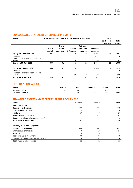# **CONSOLIDATED STATEMENT OF CHANGES IN EQUITY**

| <b>MEUR</b>                                                      | Total equity attributable to equity holders of the parent | Non-                             |                                   |                                            |                             |                          |                 |
|------------------------------------------------------------------|-----------------------------------------------------------|----------------------------------|-----------------------------------|--------------------------------------------|-----------------------------|--------------------------|-----------------|
|                                                                  |                                                           |                                  |                                   |                                            |                             | controlling<br>interests | Total<br>equity |
|                                                                  | <b>Share</b><br>capital                                   | <b>Share</b><br>issue<br>premium | <b>Translation</b><br>differences | <b>Fair value</b><br>and other<br>reserves | <b>Retained</b><br>earnings |                          |                 |
| Equity on 1 January 2011                                         | 336                                                       | 61                               | 8                                 | 12                                         | 1 2 2 1                     | 26                       | 1664            |
| <b>Dividends</b><br>Total comprehensive income for the           |                                                           |                                  |                                   |                                            | $-271$                      | $-7$                     | $-278$          |
| period                                                           |                                                           |                                  | -8                                | 9                                          | 144                         | 3                        | 147             |
| Equity on 30 Jun. 2011                                           | 336                                                       | 61                               | -1                                | 21                                         | 1 0 9 4                     | 21                       | 1533            |
| Equity on 1 January 2010                                         | 336                                                       | 61                               | -6                                | 99                                         | 1 0 0 6                     | 16                       | 1512            |
| <b>Dividends</b><br>Total comprehensive income for the<br>period |                                                           |                                  | 19                                | 3                                          | $-173$<br>109               | $-2$<br>7                | $-175$<br>138   |
| Equity on 30 Jun. 2010                                           | 336                                                       | 61                               | 13                                | 102                                        | 942                         | 21                       | 1476            |

# **GEOGRAPHICAL AREAS**

| <b>MEUR</b>        | Europe | Asia | Americas | Other | Total   |
|--------------------|--------|------|----------|-------|---------|
| Net sales 1-6/2011 | 695    | 964  | הדה      | 187   | 2 1 1 9 |
| Net sales 1-6/2010 | 578    | 739  | 473      | 262   | 2052    |

# **INTANGIBLE ASSETS AND PROPERTY, PLANT & EQUIPMENT**

| <b>MEUR</b>                                | 1-6/2011 | 1-6/2010 | 2010  |
|--------------------------------------------|----------|----------|-------|
| Intangible assets                          |          |          |       |
| Book value at 1 January                    | 780      | 779      | 779   |
| Changes in exchange rates                  | $-5$     | 21       | 20    |
| Additions                                  | 10       |          | 17    |
| Amortisation and impairment                | $-22$    | $-21$    | $-42$ |
| Disposals and intra-balance sheet transfer |          |          | 6     |
| Book value at end of period                | 764      | 787      | 780   |
|                                            |          |          |       |
| Property, plant and equipment              |          |          |       |
| Book value at 1 January                    | 466      | 457      | 457   |
| Changes in exchange rates                  | -5       | 18       | 14    |
| Additions                                  | 18       | 25       | 75    |
| Depreciation and impairment                | $-35$    | $-37$    | $-73$ |
| Disposals and intra-balance sheet transfer | $-10$    | -2       | -6    |
| Book value at end of period                | 433      | 461      | 466   |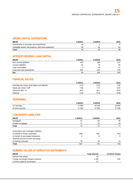# **GROSS CAPITAL EXPENDITURE**

| <b>MEUR</b>                                         | 1-6/2011 | 1-6/2010 | 2010 |
|-----------------------------------------------------|----------|----------|------|
| Investments in securities and acquisitions          | 16       |          |      |
| Intangible assets and property, plant and equipment | 28       | າດ       | 92   |
| Total                                               | 44       | 36       | 98   |

# **INTEREST-BEARING LOAN CAPITAL**

| <b>MEUR</b>                | 1-6/2011 | 1-6/2010 | 2010  |
|----------------------------|----------|----------|-------|
| Non-current liabilities    | 523      | 599      | 572   |
| <b>Current liabilities</b> | 84       | 79       | 56    |
| Loan receivables           | -2       | $-20$    | $-17$ |
| Cash and cash equivalents  | -541     | -331     | -776  |
| <b>Net</b>                 | 64       | 328      | -165  |

# **FINANCIAL RATIOS**

|                                             | 1-6/2011 | 1-6/2010 | 2010    |
|---------------------------------------------|----------|----------|---------|
| Earnings per share, EUR (basic and diluted) | 0.73     | 0.55     | 1.96    |
| Equity per share, EUR                       | 7.66     | 7.37     | 8.30    |
| Solvency ratio, %                           | 40.4     | 38.1     | 40.8    |
| Gearing                                     | 0.04     | 0.24     | $-0.09$ |

# **PERSONNEL**

|                  | 1-6/2011 | 1-6/2010 | 2010   |
|------------------|----------|----------|--------|
| On average       | 17 585   | 18 295   | 18 000 |
| At end of period | 7654     | 905      | 7528   |

# **CONTINGENT LIABILITIES**

| <b>MEUR</b>                           | 1-6/2011 | 1-6/2010 | 2010 |
|---------------------------------------|----------|----------|------|
| Mortgages                             | 57       | 56       | 59   |
| Chattel mortgages                     | 17       | 18       | 18   |
| Total                                 | 74       | 74       | 77   |
|                                       |          |          |      |
| Guarantees and contingent liabilities |          |          |      |
| on behalf of Group companies          | 508      | 681      | 623  |
| on behalf of associated companies     | 9        | 9        | 9    |
| Nominal amount of rents according     |          |          |      |
| to leasing contracts                  | 70       | 79       | 74   |
| Total                                 | 587      | 770      | 706  |

# **NOMINAL VALUES OF DERIVATIVE INSTRUMENTS**

| <b>MEUR</b>                        | <b>Total amount</b> | of which closed |
|------------------------------------|---------------------|-----------------|
| Interest rate swaps                | 20                  |                 |
| Foreign exchange forward contracts | 168                 | 230             |
| Currency options, purchased        | 57                  |                 |